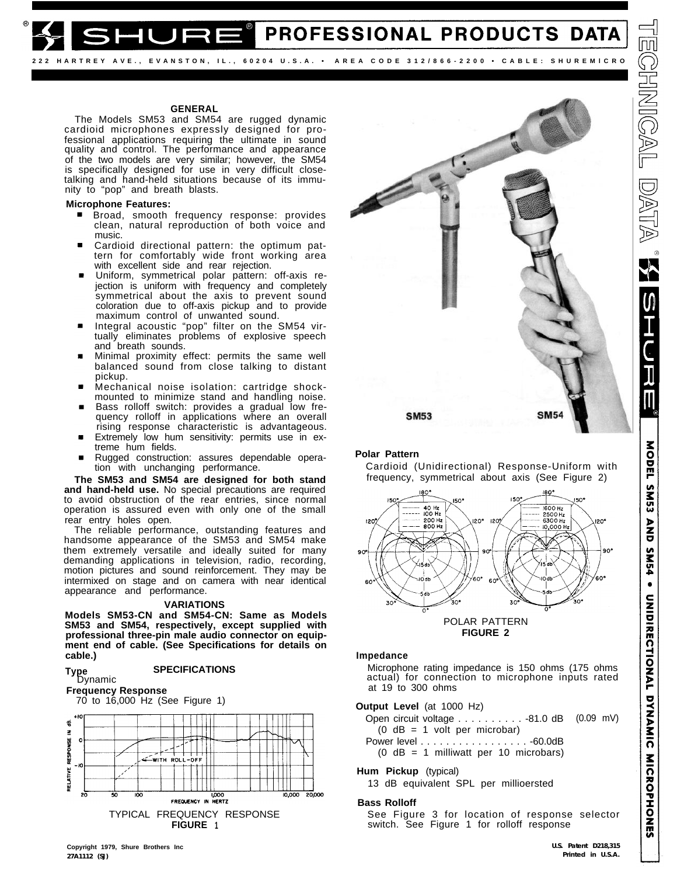**222 HARTREY AVE., EVANSTON, IL., 60204 U.S.A. • AREA CODE 312/866-2200 • CABLE: SHUREMlCRO**

# **GENERAL**

The Models SM53 and SM54 are rugged dynamic cardioid microphones expressly designed for professional applications requiring the ultimate in sound quality and control. The performance and appearance of the two models are very similar; however, the SM54 is specifically designed for use in very difficult closetalking and hand-held situations because of its immunity to "pop" and breath blasts.

# **Microphone Features:**

- **Broad, smooth frequency response: provides** clean, natural reproduction of both voice and music.
- Cardioid directional pattern: the optimum pattern for comfortably wide front working area with excellent side and rear rejection.
- Uniform, symmetrical polar pattern: off-axis rejection is uniform with frequency and completely symmetrical about the axis to prevent sound coloration due to off-axis pickup and to provide maximum control of unwanted sound.
- Integral acoustic "pop" filter on the SM54 virtually eliminates problems of explosive speech and breath sounds.
- Minimal proximity effect: permits the same well balanced sound from close talking to distant pickup.
- Mechanical noise isolation: cartridge shockmounted to minimize stand and handling noise.
- Bass rolloff switch: provides a gradual low frequency rolloff in applications where an overall rising response characteristic is advantageous.
- Extremely low hum sensitivity: permits use in extreme hum fields.
- Rugged construction: assures dependable operation with unchanging performance.

**The SM53 and SM54 are designed for both stand and hand-held use.** No special precautions are required to avoid obstruction of the rear entries, since normal operation is assured even with only one of the small rear entry holes open.

The reliable performance, outstanding features and handsome appearance of the SM53 and SM54 make them extremely versatile and ideally suited for many demanding applications in television, radio, recording, motion pictures and sound reinforcement. They may be intermixed on stage and on camera with near identical appearance and performance.

### **VARIATIONS**

**Models SM53-CN and SM54-CN: Same as Models SM53 and SM54, respectively, except supplied with professional three-pin male audio connector on equipment end of cable. (See Specifications for details on cable.)**

### **Type SPECIFICATIONS** Type<br>Dynamic







PROFESSIONAL PRODUCTS DATA

# **Polar Pattern**

Cardioid (Unidirectional) Response-Uniform with frequency, symmetrical about axis (See Figure 2)



# **Impedance**

Microphone rating impedance is 150 ohms (175 ohms actual) for connection to microphone inputs rated at 19 to 300 ohms

**Output Level** (at 1000 Hz)

Open circuit voltage . . . . . . . . . . -81.0 dB (0.09 mV) (0 dB = 1 volt per microbar)

Power level . . . . . . . . . . . . . . . . . . -60.0dB (0 dB = 1 milliwatt per 10 microbars)

# **Hum Pickup** (typical)

13 dB equivalent SPL per millioersted

# **Bass Rolloff**

See Figure 3 for location of response selector switch. See Figure 1 for rolloff response

**PRIMEA**